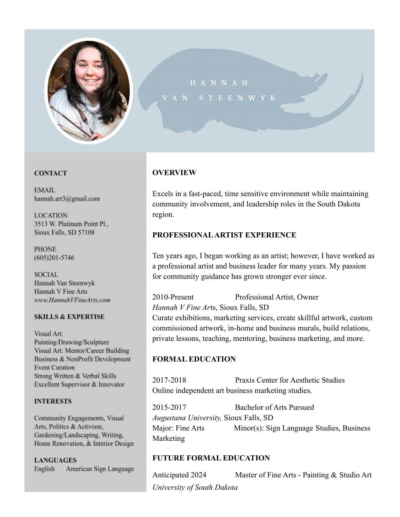

# STEENWYK

#### **CONTACT**

**EMAIL** hannah.art3@gmail.com

**LOCATION** 3513 W. Platinum Point Pl., Sioux Falls, SD 57108

**PHONE**  $(605)201 - 5746$ 

**SOCIAL** Hannah Van Steenwyk Hannah V Fine Arts www.HannahVFineArts.com

#### **SKILLS & EXPERTISE**

Visual Art: Painting/Drawing/Sculpture Visual Art: Mentor/Career Building Business & NonProfit Development **Event Curation** Strong Written & Verbal Skills Excellent Supervisor & Innovator

#### **INTERESTS**

Community Engagements, Visual Arts, Politics & Activism, Gardening/Landscaping, Writing, Home Renovation, & Interior Design

**LANGUAGES** American Sign Language English

# **OVERVIEW**

Excels in a fast-paced, time sensitive environment while maintaining community involvement, and leadership roles in the South Dakota region.

## **PROFESSIONAL ARTIST EXPERIENCE**

Ten years ago, I began working as an artist; however, I have worked as a professional artist and business leader for many years. My passion for community guidance has grown stronger ever since.

2010-Present Professional Artist, Owner *Hannah V Fine Ar*ts, Sioux Falls, SD Curate exhibitions, marketing services, create skillful artwork, custom commissioned artwork, in-home and business murals, build relations, private lessons, teaching, mentoring, business marketing, and more.

# **FORMAL EDUCATION**

2017-2018 Praxis Center for Aesthetic Studies Online independent art business marketing studies.

2015-2017 Bachelor of Arts Pursued *Augustana University,* Sioux Falls, SD Major: Fine Arts Minor(s): Sign Language Studies, Business Marketing

# **FUTURE FORMAL EDUCATION**

Anticipated 2024 Master of Fine Arts - Painting & Studio Art *University of South Dakota*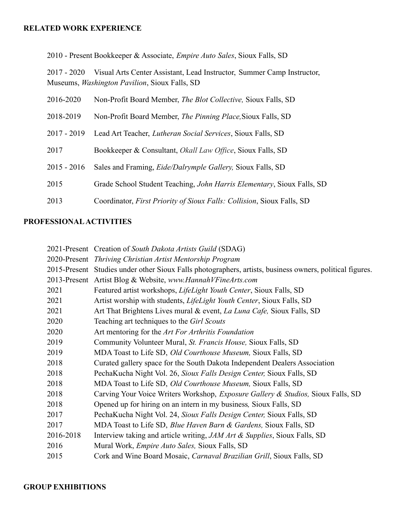#### **RELATED WORK EXPERIENCE**

2010 - Present Bookkeeper & Associate, *Empire Auto Sales*, Sioux Falls, SD

2017 - 2020 Visual Arts Center Assistant, Lead Instructor, Summer Camp Instructor, Museums, *Washington Pavilion*, Sioux Falls, SD

| 2016-2020     | Non-Profit Board Member, <i>The Blot Collective</i> , Sioux Falls, SD  |
|---------------|------------------------------------------------------------------------|
| 2018-2019     | Non-Profit Board Member, The Pinning Place, Sioux Falls, SD            |
| $2017 - 2019$ | Lead Art Teacher, <i>Lutheran Social Services</i> , Sioux Falls, SD    |
| 2017          | Bookkeeper & Consultant, <i>Okall Law Office</i> , Sioux Falls, SD     |
| $2015 - 2016$ | Sales and Framing, <i>Eide/Dalrymple Gallery</i> , Sioux Falls, SD     |
| 2015          | Grade School Student Teaching, John Harris Elementary, Sioux Falls, SD |
| 2013          | Coordinator, First Priority of Sioux Falls: Collision, Sioux Falls, SD |

# **PROFESSIONAL ACTIVITIES**

|           | 2021-Present Creation of South Dakota Artists Guild (SDAG)                                               |
|-----------|----------------------------------------------------------------------------------------------------------|
|           | 2020-Present Thriving Christian Artist Mentorship Program                                                |
|           | 2015-Present Studies under other Sioux Falls photographers, artists, business owners, political figures. |
|           | 2013-Present Artist Blog & Website, www.HannahVFineArts.com                                              |
| 2021      | Featured artist workshops, <i>LifeLight Youth Center</i> , Sioux Falls, SD                               |
| 2021      | Artist worship with students, <i>LifeLight Youth Center</i> , Sioux Falls, SD                            |
| 2021      | Art That Brightens Lives mural & event, <i>La Luna Cafe</i> , Sioux Falls, SD                            |
| 2020      | Teaching art techniques to the Girl Scouts                                                               |
| 2020      | Art mentoring for the Art For Arthritis Foundation                                                       |
| 2019      | Community Volunteer Mural, St. Francis House, Sioux Falls, SD                                            |
| 2019      | MDA Toast to Life SD, <i>Old Courthouse Museum</i> , Sioux Falls, SD                                     |
| 2018      | Curated gallery space for the South Dakota Independent Dealers Association                               |
| 2018      | PechaKucha Night Vol. 26, Sioux Falls Design Center, Sioux Falls, SD                                     |
| 2018      | MDA Toast to Life SD, <i>Old Courthouse Museum</i> , Sioux Falls, SD                                     |
| 2018      | Carving Your Voice Writers Workshop, <i>Exposure Gallery &amp; Studios</i> , Sioux Falls, SD             |
| 2018      | Opened up for hiring on an intern in my business, Sioux Falls, SD                                        |
| 2017      | PechaKucha Night Vol. 24, Sioux Falls Design Center, Sioux Falls, SD                                     |
| 2017      | MDA Toast to Life SD, Blue Haven Barn & Gardens, Sioux Falls, SD                                         |
| 2016-2018 | Interview taking and article writing, <i>JAM Art &amp; Supplies</i> , Sioux Falls, SD                    |
| 2016      | Mural Work, <i>Empire Auto Sales</i> , Sioux Falls, SD                                                   |
| 2015      | Cork and Wine Board Mosaic, Carnaval Brazilian Grill, Sioux Falls, SD                                    |
|           |                                                                                                          |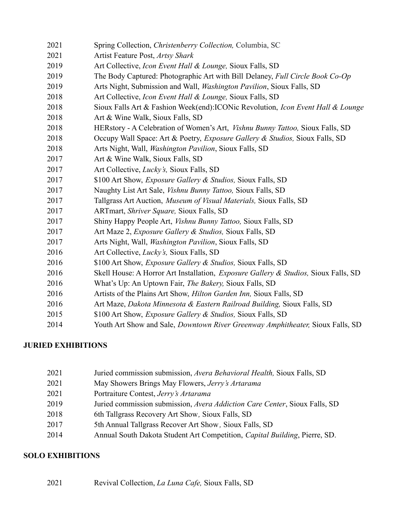| 2021 | Spring Collection, Christenberry Collection, Columbia, SC                                       |
|------|-------------------------------------------------------------------------------------------------|
| 2021 | Artist Feature Post, Artsy Shark                                                                |
| 2019 | Art Collective, Icon Event Hall & Lounge, Sioux Falls, SD                                       |
| 2019 | The Body Captured: Photographic Art with Bill Delaney, Full Circle Book Co-Op                   |
| 2019 | Arts Night, Submission and Wall, <i>Washington Pavilion</i> , Sioux Falls, SD                   |
| 2018 | Art Collective, Icon Event Hall & Lounge, Sioux Falls, SD                                       |
| 2018 | Sioux Falls Art & Fashion Week(end): ICONic Revolution, Icon Event Hall & Lounge                |
| 2018 | Art & Wine Walk, Sioux Falls, SD                                                                |
| 2018 | HERstory - A Celebration of Women's Art, <i>Vishnu Bunny Tattoo</i> , Sioux Falls, SD           |
| 2018 | Occupy Wall Space: Art & Poetry, Exposure Gallery & Studios, Sioux Falls, SD                    |
| 2018 | Arts Night, Wall, Washington Pavilion, Sioux Falls, SD                                          |
| 2017 | Art & Wine Walk, Sioux Falls, SD                                                                |
| 2017 | Art Collective, <i>Lucky's</i> , Sioux Falls, SD                                                |
| 2017 | \$100 Art Show, <i>Exposure Gallery &amp; Studios</i> , Sioux Falls, SD                         |
| 2017 | Naughty List Art Sale, <i>Vishnu Bunny Tattoo</i> , Sioux Falls, SD                             |
| 2017 | Tallgrass Art Auction, Museum of Visual Materials, Sioux Falls, SD                              |
| 2017 | ARTmart, Shriver Square, Sioux Falls, SD                                                        |
| 2017 | Shiny Happy People Art, <i>Vishnu Bunny Tattoo</i> , Sioux Falls, SD                            |
| 2017 | Art Maze 2, <i>Exposure Gallery &amp; Studios</i> , Sioux Falls, SD                             |
| 2017 | Arts Night, Wall, <i>Washington Pavilion</i> , Sioux Falls, SD                                  |
| 2016 | Art Collective, <i>Lucky's</i> , Sioux Falls, SD                                                |
| 2016 | \$100 Art Show, <i>Exposure Gallery &amp; Studios</i> , Sioux Falls, SD                         |
| 2016 | Skell House: A Horror Art Installation, <i>Exposure Gallery &amp; Studios</i> , Sioux Falls, SD |
| 2016 | What's Up: An Uptown Fair, The Bakery, Sioux Falls, SD                                          |
| 2016 | Artists of the Plains Art Show, <i>Hilton Garden Inn</i> , Sioux Falls, SD                      |
| 2016 | Art Maze, Dakota Minnesota & Eastern Railroad Building, Sioux Falls, SD                         |
| 2015 | \$100 Art Show, <i>Exposure Gallery &amp; Studios</i> , Sioux Falls, SD                         |
| 2014 | Youth Art Show and Sale, Downtown River Greenway Amphitheater, Sioux Falls, SD                  |

# **JURIED EXHIBITIONS**

| 2021 | Juried commission submission, Avera Behavioral Health, Sioux Falls, SD             |
|------|------------------------------------------------------------------------------------|
| 2021 | May Showers Brings May Flowers, Jerry's Artarama                                   |
| 2021 | Portraiture Contest, Jerry's Artarama                                              |
| 2019 | Juried commission submission, Avera Addiction Care Center, Sioux Falls, SD         |
| 2018 | 6th Tallgrass Recovery Art Show, Sioux Falls, SD                                   |
| 2017 | 5th Annual Tallgrass Recover Art Show, Sioux Falls, SD                             |
| 2014 | Annual South Dakota Student Art Competition, <i>Capital Building</i> , Pierre, SD. |
|      |                                                                                    |

# **SOLO EXHIBITIONS**

| 2021 | Revival Collection, La Luna Cafe, Sioux Falls, SD |  |  |  |  |  |
|------|---------------------------------------------------|--|--|--|--|--|
|------|---------------------------------------------------|--|--|--|--|--|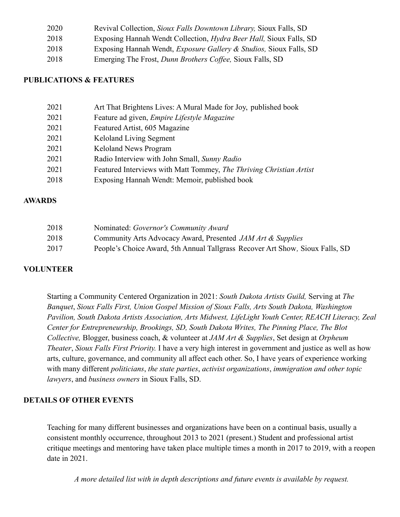| 2020 | Revival Collection, Sioux Falls Downtown Library, Sioux Falls, SD              |
|------|--------------------------------------------------------------------------------|
| 2018 | Exposing Hannah Wendt Collection, <i>Hydra Beer Hall</i> , Sioux Falls, SD     |
| 2018 | Exposing Hannah Wendt, <i>Exposure Gallery &amp; Studios</i> , Sioux Falls, SD |
| 2018 | Emerging The Frost, Dunn Brothers Coffee, Sioux Falls, SD                      |

# **PUBLICATIONS & FEATURES**

| 2021 | Art That Brightens Lives: A Mural Made for Joy, published book      |
|------|---------------------------------------------------------------------|
| 2021 | Feature ad given, Empire Lifestyle Magazine                         |
| 2021 | Featured Artist, 605 Magazine                                       |
| 2021 | Keloland Living Segment                                             |
| 2021 | Keloland News Program                                               |
| 2021 | Radio Interview with John Small, Sunny Radio                        |
| 2021 | Featured Interviews with Matt Tommey, The Thriving Christian Artist |
| 2018 | Exposing Hannah Wendt: Memoir, published book                       |

#### **AWARDS**

| 2018 | Nominated: Governor's Community Award                                         |
|------|-------------------------------------------------------------------------------|
| 2018 | Community Arts Advocacy Award, Presented JAM Art & Supplies                   |
| 2017 | People's Choice Award, 5th Annual Tallgrass Recover Art Show, Sioux Falls, SD |

# **VOLUNTEER**

Starting a Community Centered Organization in 2021: *South Dakota Artists Guild,* Serving at *The Banquet*, *Sioux Falls First, Union Gospel Mission of Sioux Falls, Arts South Dakota, Washington Pavilion, South Dakota Artists Association, Arts Midwest, LifeLight Youth Center, REACH Literacy, Zeal Center for Entrepreneurship, Brookings, SD, South Dakota Writes, The Pinning Place, The Blot Collective,* Blogger, business coach, & volunteer at *JAM Art & Supplies*, Set design at *Orpheum Theater*, *Sioux Falls First Priority.* I have a very high interest in government and justice as well as how arts, culture, governance, and community all affect each other. So, I have years of experience working with many different *politicians*, *the state parties*, *activist organizations*, *immigration and other topic lawyers*, and *business owners* in Sioux Falls, SD.

# **DETAILS OF OTHER EVENTS**

Teaching for many different businesses and organizations have been on a continual basis, usually a consistent monthly occurrence, throughout 2013 to 2021 (present.) Student and professional artist critique meetings and mentoring have taken place multiple times a month in 2017 to 2019, with a reopen date in 2021.

*A more detailed list with in depth descriptions and future events is available by request.*